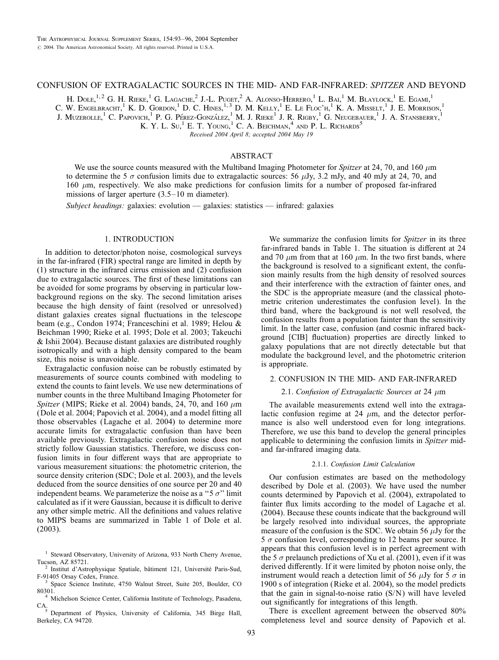# CONFUSION OF EXTRAGALACTIC SOURCES IN THE MID- AND FAR-INFRARED: SPITZER AND BEYOND

H. Dole, $^{1,2}$  G. H. Rieke,<sup>1</sup> G. Lagache,<sup>2</sup> J.-L. Puget,<sup>2</sup> A. Alonso-Herrero,<sup>1</sup> L. Bai,<sup>1</sup> M. Blaylock,<sup>1</sup> E. Egami,<sup>1</sup>

C. W. Engelbracht,<sup>1</sup> K. D. Gordon,<sup>1</sup> D. C. Hines,<sup>1,3</sup> D. M. Kelly,<sup>1</sup> E. Le Floc'h,<sup>1</sup> K. A. Misselt,<sup>1</sup> J. E. Morrison,<sup>1</sup>

J. Muzerolle,<sup>1</sup> C. Papovich,<sup>1</sup> P. G. Pérez-González,<sup>1</sup> M. J. Rieke<sup>1</sup> J. R. Rigby,<sup>1</sup> G. Neugebauer,<sup>1</sup> J. A. Stansberry,<sup>1</sup>

K. Y. L. Su,<sup>1</sup> E. T. YOUNG,<sup>1</sup> C. A. BEICHMAN,<sup>4</sup> AND P. L. RICHARDS<sup>5</sup>

Received 2004 April 8; accepted 2004 May 19

# ABSTRACT

We use the source counts measured with the Multiband Imaging Photometer for Spitzer at 24, 70, and 160  $\mu$ m to determine the 5  $\sigma$  confusion limits due to extragalactic sources: 56  $\mu$ Jy, 3.2 mJy, and 40 mJy at 24, 70, and 160  $\mu$ m, respectively. We also make predictions for confusion limits for a number of proposed far-infrared missions of larger aperture (3.5–10 m diameter).

Subject headings: galaxies: evolution — galaxies: statistics — infrared: galaxies

### 1. INTRODUCTION

In addition to detector/photon noise, cosmological surveys in the far-infrared (FIR) spectral range are limited in depth by (1) structure in the infrared cirrus emission and (2) confusion due to extragalactic sources. The first of these limitations can be avoided for some programs by observing in particular lowbackground regions on the sky. The second limitation arises because the high density of faint (resolved or unresolved) distant galaxies creates signal fluctuations in the telescope beam (e.g., Condon 1974; Franceschini et al. 1989; Helou & Beichman 1990; Rieke et al. 1995; Dole et al. 2003; Takeuchi & Ishii 2004). Because distant galaxies are distributed roughly isotropically and with a high density compared to the beam size, this noise is unavoidable.

Extragalactic confusion noise can be robustly estimated by measurements of source counts combined with modeling to extend the counts to faint levels. We use new determinations of number counts in the three Multiband Imaging Photometer for Spitzer (MIPS; Rieke et al. 2004) bands, 24, 70, and 160  $\mu$ m (Dole et al. 2004; Papovich et al. 2004), and a model fitting all those observables (Lagache et al. 2004) to determine more accurate limits for extragalactic confusion than have been available previously. Extragalactic confusion noise does not strictly follow Gaussian statistics. Therefore, we discuss confusion limits in four different ways that are appropriate to various measurement situations: the photometric criterion, the source density criterion (SDC; Dole et al. 2003), and the levels deduced from the source densities of one source per 20 and 40 independent beams. We parameterize the noise as a " $5 \sigma$ " limit calculated as if it were Gaussian, because it is difficult to derive any other simple metric. All the definitions and values relative to MIPS beams are summarized in Table 1 of Dole et al. (2003).

We summarize the confusion limits for *Spitzer* in its three far-infrared bands in Table 1. The situation is different at 24 and 70  $\mu$ m from that at 160  $\mu$ m. In the two first bands, where the background is resolved to a significant extent, the confusion mainly results from the high density of resolved sources and their interference with the extraction of fainter ones, and the SDC is the appropriate measure (and the classical photometric criterion underestimates the confusion level). In the third band, where the background is not well resolved, the confusion results from a population fainter than the sensitivity limit. In the latter case, confusion (and cosmic infrared background [CIB] fluctuation) properties are directly linked to galaxy populations that are not directly detectable but that modulate the background level, and the photometric criterion is appropriate.

# 2. CONFUSION IN THE MID- AND FAR-INFRARED

## 2.1. Confusion of Extragalactic Sources at 24  $\mu$ m

The available measurements extend well into the extragalactic confusion regime at 24  $\mu$ m, and the detector performance is also well understood even for long integrations. Therefore, we use this band to develop the general principles applicable to determining the confusion limits in Spitzer midand far-infrared imaging data.

#### 2.1.1. Confusion Limit Calculation

Our confusion estimates are based on the methodology described by Dole et al. (2003). We have used the number counts determined by Papovich et al. (2004), extrapolated to fainter flux limits according to the model of Lagache et al. (2004). Because these counts indicate that the background will be largely resolved into individual sources, the appropriate measure of the confusion is the SDC. We obtain 56  $\mu$ Jy for the  $5\,\sigma$  confusion level, corresponding to 12 beams per source. It appears that this confusion level is in perfect agreement with the 5  $\sigma$  prelaunch predictions of Xu et al. (2001), even if it was derived differently. If it were limited by photon noise only, the instrument would reach a detection limit of 56  $\mu$ Jy for 5  $\sigma$  in 1900 s of integration (Rieke et al. 2004), so the model predicts that the gain in signal-to-noise ratio  $(S/N)$  will have leveled out significantly for integrations of this length.

There is excellent agreement between the observed 80% completeness level and source density of Papovich et al.

<sup>&</sup>lt;sup>1</sup> Steward Observatory, University of Arizona, 933 North Cherry Avenue,

Tucson, AZ 85721.<br><sup>2</sup> Institut d'Astrophysique Spatiale, bâtiment 121, Université Paris-Sud, F-91405 Orsay Cedex, France.

<sup>&</sup>lt;sup>3</sup> Space Science Institute, 4750 Walnut Street, Suite 205, Boulder, CO 80301. <sup>4</sup> Michelson Science Center, California Institute of Technology, Pasadena,

CA.5 Department of Physics, University of California, 345 Birge Hall,

Berkeley, CA 94720.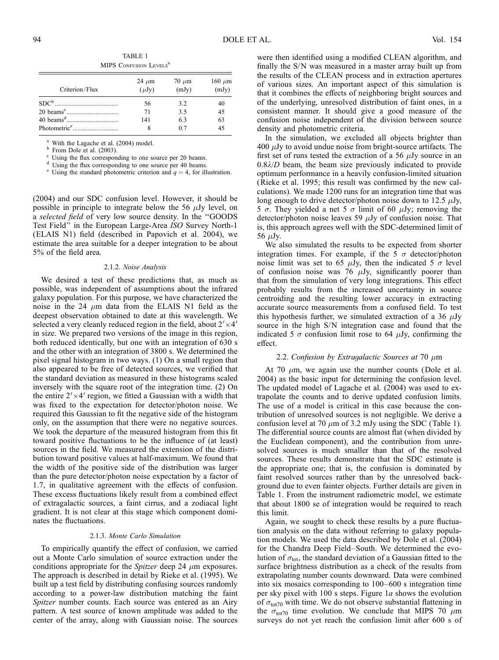| Criterion/Flux | 24 $\mu$ m<br>$(\mu Jy)$ | $70 \mu m$<br>(mJy) | 160 $\mu$ m<br>(mJy) |
|----------------|--------------------------|---------------------|----------------------|
|                | 56                       | 3.2                 | 40                   |
|                | 71                       | 3.5                 | 45                   |
|                | 141                      | 6.3                 | 63                   |
|                | 8                        | 0.7                 | 45                   |

TABLE 1 MIPS CONFUSION LEVELS<sup>a</sup>

<sup>a</sup> With the Lagache et al. (2004) model.<br><sup>b</sup> From Dole et al. (2003).<br><sup>c</sup> Using the flux corresponding to one source per 20 beams.<br><sup>d</sup> Using the flux corresponding to one source per 40 beams.<br><sup>e</sup> Using the standard photo

(2004) and our SDC confusion level. However, it should be possible in principle to integrate below the 56  $\mu$ Jy level, on a selected field of very low source density. In the ''GOODS Test Field'' in the European Large-Area ISO Survey North-1 (ELAIS N1) field (described in Papovich et al. 2004), we estimate the area suitable for a deeper integration to be about 5% of the field area.

### 2.1.2. Noise Analysis

We desired a test of these predictions that, as much as possible, was independent of assumptions about the infrared galaxy population. For this purpose, we have characterized the noise in the 24  $\mu$ m data from the ELAIS N1 field as the deepest observation obtained to date at this wavelength. We selected a very cleanly reduced region in the field, about  $2' \times 4'$ in size. We prepared two versions of the image in this region, both reduced identically, but one with an integration of 630 s and the other with an integration of 3800 s. We determined the pixel signal histogram in two ways. (1) On a small region that also appeared to be free of detected sources, we verified that the standard deviation as measured in these histograms scaled inversely with the square root of the integration time. (2) On the entire  $2' \times 4'$  region, we fitted a Gaussian with a width that was fixed to the expectation for detector/photon noise. We required this Gaussian to fit the negative side of the histogram only, on the assumption that there were no negative sources. We took the departure of the measured histogram from this fit toward positive fluctuations to be the influence of (at least) sources in the field. We measured the extension of the distribution toward positive values at half-maximum. We found that the width of the positive side of the distribution was larger than the pure detector/photon noise expectation by a factor of 1.7, in qualitative agreement with the effects of confusion. These excess fluctuations likely result from a combined effect of extragalactic sources, a faint cirrus, and a zodiacal light gradient. It is not clear at this stage which component dominates the fluctuations.

#### 2.1.3. Monte Carlo Simulation

To empirically quantify the effect of confusion, we carried out a Monte Carlo simulation of source extraction under the conditions appropriate for the *Spitzer* deep 24  $\mu$ m exposures. The approach is described in detail by Rieke et al. (1995). We built up a test field by distributing confusing sources randomly according to a power-law distribution matching the faint Spitzer number counts. Each source was entered as an Airy pattern. A test source of known amplitude was added to the center of the array, along with Gaussian noise. The sources

were then identified using a modified CLEAN algorithm, and finally the S/N was measured in a master array built up from the results of the CLEAN process and in extraction apertures of various sizes. An important aspect of this simulation is that it combines the effects of neighboring bright sources and of the underlying, unresolved distribution of faint ones, in a consistent manner. It should give a good measure of the confusion noise independent of the division between source density and photometric criteria.

In the simulation, we excluded all objects brighter than  $400 \mu Jy$  to avoid undue noise from bright-source artifacts. The first set of runs tested the extraction of a 56  $\mu$ Jy source in an  $0.8\lambda/D$  beam, the beam size previously indicated to provide optimum performance in a heavily confusion-limited situation (Rieke et al. 1995; this result was confirmed by the new calculations). We made 1200 runs for an integration time that was long enough to drive detector/photon noise down to 12.5  $\mu$ Jy, 5  $\sigma$ . They yielded a net 5  $\sigma$  limit of 60  $\mu$ Jy; removing the detector/photon noise leaves 59  $\mu$ Jy of confusion noise. That is, this approach agrees well with the SDC-determined limit of 56  $\mu$ Jy.

We also simulated the results to be expected from shorter integration times. For example, if the 5  $\sigma$  detector/photon noise limit was set to 65  $\mu$ Jy, then the indicated 5  $\sigma$  level of confusion noise was 76  $\mu$ Jy, significantly poorer than that from the simulation of very long integrations. This effect probably results from the increased uncertainty in source centroiding and the resulting lower accuracy in extracting accurate source measurements from a confused field. To test this hypothesis further, we simulated extraction of a 36  $\mu$ Jy source in the high S/N integration case and found that the indicated 5  $\sigma$  confusion limit rose to 64  $\mu$ Jy, confirming the effect.

### 2.2. Confusion by Extragalactic Sources at 70  $\mu$ m

At 70  $\mu$ m, we again use the number counts (Dole et al. 2004) as the basic input for determining the confusion level. The updated model of Lagache et al. (2004) was used to extrapolate the counts and to derive updated confusion limits. The use of a model is critical in this case because the contribution of unresolved sources is not negligible. We derive a confusion level at 70  $\mu$ m of 3.2 mJy using the SDC (Table 1). The differential source counts are almost flat (when divided by the Euclidean component), and the contribution from unresolved sources is much smaller than that of the resolved sources. These results demonstrate that the SDC estimate is the appropriate one; that is, the confusion is dominated by faint resolved sources rather than by the unresolved background due to even fainter objects. Further details are given in Table 1. From the instrument radiometric model, we estimate that about 1800 se of integration would be required to reach this limit.

Again, we sought to check these results by a pure fluctuation analysis on the data without referring to galaxy population models. We used the data described by Dole et al. (2004) for the Chandra Deep Field–South. We determined the evolution of  $\sigma_{\text{tot}}$ , the standard deviation of a Gaussian fitted to the surface brightness distribution as a check of the results from extrapolating number counts downward. Data were combined into six mosaics corresponding to 100–600 s integration time per sky pixel with 100 s steps. Figure 1a shows the evolution of  $\sigma_{\text{tot70}}$  with time. We do not observe substantial flattening in the  $\sigma_{\text{tot70}}$  time evolution. We conclude that MIPS 70  $\mu$ m surveys do not yet reach the confusion limit after 600 s of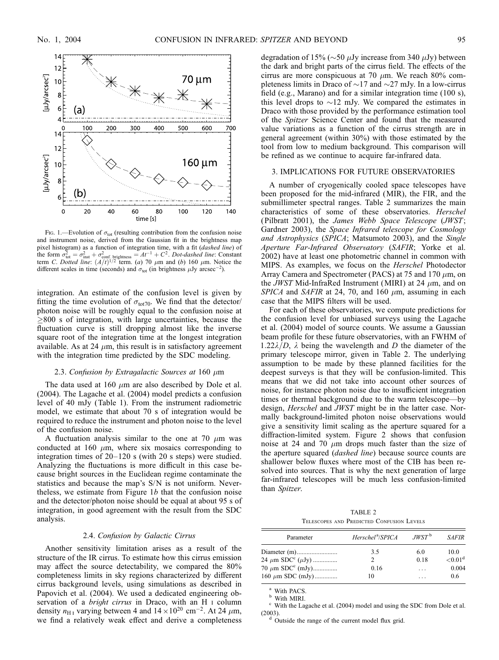

Fig. 1.—Evolution of  $\sigma_{\text{tot}}$  (resulting contribution from the confusion noise and instrument noise, derived from the Gaussian fit in the brightness map pixel histogram) as a function of integration time, with a fit (dashed line) of the form  $\sigma_{\text{tot}}^2 = \sigma_{\text{inst}}^2 + \sigma_{\text{conf. brightness}}^2 = At^{-1} + C^2$ . Dot-dashed line: Constant term *C. Dotted line:*  $(A/t)^{1/2}$  term. (a) 70  $\mu$ m and (b) 160  $\mu$ m. Notice the different scales in time (seconds) and  $\sigma_{\text{tot}}$  (in brightness  $\mu$ Jy arcsec<sup>-2</sup>).

integration. An estimate of the confusion level is given by fitting the time evolution of  $\sigma_{\text{tot70}}$ . We find that the detector/ photon noise will be roughly equal to the confusion noise at  $\geq$ 800 s of integration, with large uncertainties, because the fluctuation curve is still dropping almost like the inverse square root of the integration time at the longest integration available. As at 24  $\mu$ m, this result is in satisfactory agreement with the integration time predicted by the SDC modeling.

# 2.3. Confusion by Extragalactic Sources at 160  $\mu$ m

The data used at 160  $\mu$ m are also described by Dole et al. (2004). The Lagache et al. (2004) model predicts a confusion level of 40 mJy (Table 1). From the instrument radiometric model, we estimate that about 70 s of integration would be required to reduce the instrument and photon noise to the level of the confusion noise.

A fluctuation analysis similar to the one at 70  $\mu$ m was conducted at 160  $\mu$ m, where six mosaics corresponding to integration times of 20–120 s (with 20 s steps) were studied. Analyzing the fluctuations is more difficult in this case because bright sources in the Euclidean regime contaminate the statistics and because the map's S/N is not uniform. Nevertheless, we estimate from Figure  $1b$  that the confusion noise and the detector/photon noise should be equal at about 95 s of integration, in good agreement with the result from the SDC analysis.

### 2.4. Confusion by Galactic Cirrus

Another sensitivity limitation arises as a result of the structure of the IR cirrus. To estimate how this cirrus emission may affect the source detectability, we compared the 80% completeness limits in sky regions characterized by different cirrus background levels, using simulations as described in Papovich et al. (2004). We used a dedicated engineering observation of a *bright cirrus* in Draco, with an H<sub>I</sub> column density  $n_{\text{H I}}$  varying between 4 and  $14 \times 10^{20} \text{ cm}^{-2}$ . At 24  $\mu$ m, we find a relatively weak effect and derive a completeness degradation of 15% ( $\sim$ 50  $\mu$ Jy increase from 340  $\mu$ Jy) between the dark and bright parts of the cirrus field. The effects of the cirrus are more conspicuous at 70  $\mu$ m. We reach 80% completeness limits in Draco of  $\sim$ 17 and  $\sim$ 27 mJy. In a low-cirrus field (e.g., Marano) and for a similar integration time (100 s), this level drops to  $\sim$ 12 mJy. We compared the estimates in Draco with those provided by the performance estimation tool of the Spitzer Science Center and found that the measured value variations as a function of the cirrus strength are in general agreement (within 30%) with those estimated by the tool from low to medium background. This comparison will be refined as we continue to acquire far-infrared data.

### 3. IMPLICATIONS FOR FUTURE OBSERVATORIES

A number of cryogenically cooled space telescopes have been proposed for the mid-infrared (MIR), the FIR, and the submillimeter spectral ranges. Table 2 summarizes the main characteristics of some of these observatories. Herschel (Pilbratt 2001), the James Webb Space Telescope (JWST; Gardner 2003), the Space Infrared telescope for Cosmology and Astrophysics (SPICA; Matsumoto 2003), and the Single Aperture Far-Infrared Observatory (SAFIR; Yorke et al. 2002) have at least one photometric channel in common with MIPS. As examples, we focus on the Herschel Photodector Array Camera and Spectrometer (PACS) at 75 and 170  $\mu$ m, on the *JWST* Mid-InfraRed Instrument (MIRI) at 24  $\mu$ m, and on SPICA and SAFIR at 24, 70, and 160  $\mu$ m, assuming in each case that the MIPS filters will be used.

For each of these observatories, we compute predictions for the confusion level for unbiased surveys using the Lagache et al. (2004) model of source counts. We assume a Gaussian beam profile for these future observatories, with an FWHM of 1.22 $\lambda/D$ ,  $\lambda$  being the wavelength and D the diameter of the primary telescope mirror, given in Table 2. The underlying assumption to be made by these planned facilities for the deepest surveys is that they will be confusion-limited. This means that we did not take into account other sources of noise, for instance photon noise due to insufficient integration times or thermal background due to the warm telescope—by design, *Herschel* and *JWST* might be in the latter case. Normally background-limited photon noise observations would give a sensitivity limit scaling as the aperture squared for a diffraction-limited system. Figure 2 shows that confusion noise at 24 and 70  $\mu$ m drops much faster than the size of the aperture squared (dashed line) because source counts are shallower below fluxes where most of the CIB has been resolved into sources. That is why the next generation of large far-infrared telescopes will be much less confusion-limited than Spitzer.

TABLE 2 Telescopes and Predicted Confusion Levels

| Parameter                               | Herschel <sup>a</sup> /SPICA | $JWST^{\,b}$ | <b>SAFIR</b>           |
|-----------------------------------------|------------------------------|--------------|------------------------|
|                                         | 3.5                          | 6.0          | 10.0                   |
| 24 $\mu$ m SDC <sup>c</sup> ( $\mu$ Jy) |                              | 0.18         | ${<}0.01$ <sup>d</sup> |
| 70 $\mu$ m SDC <sup>c</sup> (mJy)       | 0.16                         | .            | 0.004                  |
| $160 \mu m$ SDC (mJy)                   | 10                           | .            | 0.6                    |

<sup>a</sup> With PACS.<br><sup>b</sup> With MIRI.<br><sup>c</sup> With the Lagache et al. (2004) model and using the SDC from Dole et al. (2003).  $\frac{d}{d}$  Outside the range of the current model flux grid.